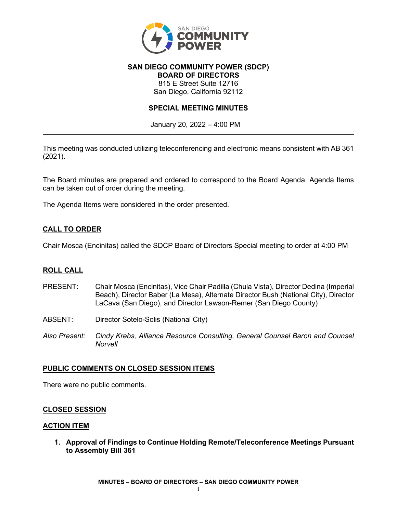

#### **SAN DIEGO COMMUNITY POWER (SDCP) BOARD OF DIRECTORS**

815 E Street Suite 12716 San Diego, California 92112

# **SPECIAL MEETING MINUTES**

January 20, 2022 – 4:00 PM

This meeting was conducted utilizing teleconferencing and electronic means consistent with AB 361 (2021).

The Board minutes are prepared and ordered to correspond to the Board Agenda. Agenda Items can be taken out of order during the meeting.

The Agenda Items were considered in the order presented.

# **CALL TO ORDER**

Chair Mosca (Encinitas) called the SDCP Board of Directors Special meeting to order at 4:00 PM

# **ROLL CALL**

- PRESENT: Chair Mosca (Encinitas), Vice Chair Padilla (Chula Vista), Director Dedina (Imperial Beach), Director Baber (La Mesa), Alternate Director Bush (National City), Director LaCava (San Diego), and Director Lawson-Remer (San Diego County)
- ABSENT: Director Sotelo-Solis (National City)
- *Also Present: Cindy Krebs, Alliance Resource Consulting, General Counsel Baron and Counsel Norvell*

### **PUBLIC COMMENTS ON CLOSED SESSION ITEMS**

There were no public comments.

### **CLOSED SESSION**

### **ACTION ITEM**

**1. Approval of Findings to Continue Holding Remote/Teleconference Meetings Pursuant to Assembly Bill 361**